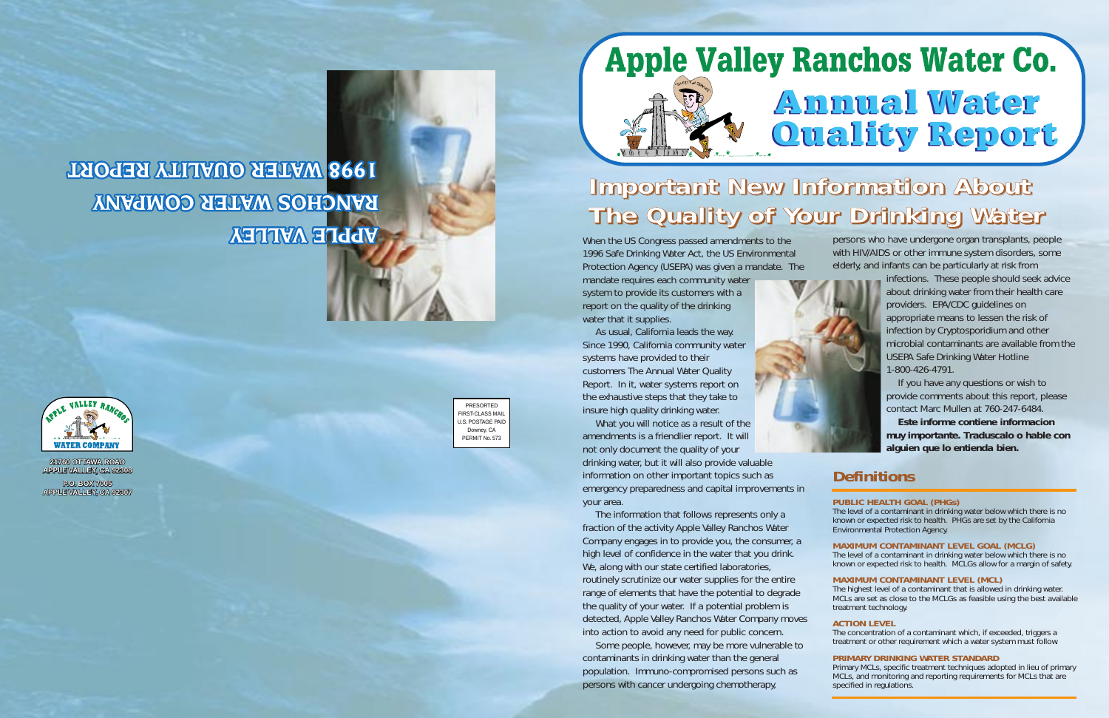When the US Congress passed amendments to the 1996 Safe Drinking Water Act, the US Environmental Protection Agency (USEPA) was given a mandate. The

mandate requires each community water system to provide its customers with a report on the quality of the drinking water that it supplies.

As usual, California leads the way. Since 1990, California community water systems have provided to their customers The Annual Water Quality Report. In it, water systems report on the exhaustive steps that they take to insure high quality drinking water.

What you will notice as a result of the amendments is a friendlier report. It will not only document the quality of your drinking water, but it will also provide valuable information on other important topics such as emergency preparedness and capital improvements in

your area.

The information that follows represents only a fraction of the activity Apple Valley Ranchos Water Company engages in to provide you, the consumer, a high level of confidence in the water that you drink. We, along with our state certified laboratories, routinely scrutinize our water supplies for the entire range of elements that have the potential to degrade the quality of your water. If a potential problem is detected, Apple Valley Ranchos Water Company moves into action to avoid any need for public concern.

Some people, however, may be more vulnerable to contaminants in drinking water than the general population. Immuno-compromised persons such as persons with cancer undergoing chemotherapy,

## **Apple Valley Ranchos Water Co. Annual Water Quality Report**

persons who have undergone organ transplants, people with HIV/AIDS or other immune system disorders, some elderly, and infants can be particularly at risk from



infections. These people should seek advice about drinking water from their health care providers. EPA/CDC guidelines on appropriate means to lessen the risk of infection by Cryptosporidium and other microbial contaminants are available from the USEPA Safe Drinking Water Hotline 1-800-426-4791.

If you have any questions or wish to provide comments about this report, please contact Marc Mullen at 760-247-6484.

**Este informe contiene informacion muy importante. Traduscalo o hable con alguien que lo entienda bien.**

#### **PUBLIC HEALTH GOAL (PHGs)**

The level of a contaminant in drinking water below which there is no known or expected risk to health. PHGs are set by the California Environmental Protection Agency.

**MAXIMUM CONTAMINANT LEVEL GOAL (MCLG)**

The level of a contaminant in drinking water below which there is no known or expected risk to health. MCLGs allow for a margin of safety.

#### **MAXIMUM CONTAMINANT LEVEL (MCL)**

The highest level of a contaminant that is allowed in drinking water. MCLs are set as close to the MCLGs as feasible using the best available treatment technology.

#### **ACTION LEVEL**

The concentration of a contaminant which, if exceeded, triggers a treatment or other requirement which a water system must follow.

#### **PRIMARY DRINKING WATER STANDARD**

Primary MCLs, specific treatment techniques adopted in lieu of primary MCLs, and monitoring and reporting requirements for MCLs that are specified in regulations.

### **Definitions**

### **1998 WATER OUALITY REPORT** RANCHOS WATER COMPANY **APPLE VALLEY**



**21760 OTTAWA ROAD APPLE VALLEY, CA 92308**

**P.O. BOX 7005 APPLE VALLEY, CA 92307**

PRESORTED FIRST-CLASS MAIL U.S. POSTAGE PAID Downey, CA PERMIT No. 573



### Important New Information About The Quality of Your Drinking Water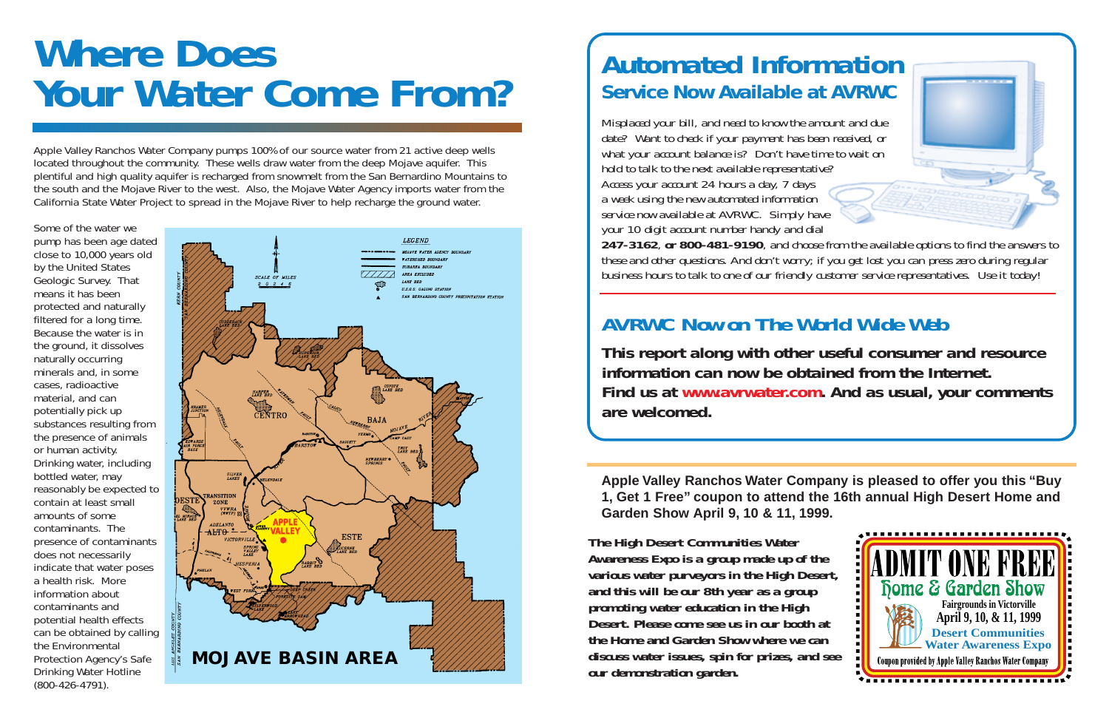Apple Valley Ranchos Water Company pumps 100% of our source water from 21 active deep wells located throughout the community. These wells draw water from the deep Mojave aquifer. This plentiful and high quality aquifer is recharged from snowmelt from the San Bernardino Mountains to the south and the Mojave River to the west. Also, the Mojave Water Agency imports water from the California State Water Project to spread in the Mojave River to help recharge the ground water.

Some of the water we pump has been age dated close to 10,000 years old by the United States Geologic Survey. That means it has been protected and naturally filtered for a long time. Because the water is in the ground, it dissolves naturally occurring minerals and, in some cases, radioactive material, and can potentially pick up substances resulting from the presence of animals or human activity. Drinking water, including bottled water, may reasonably be expected to contain at least small amounts of some contaminants. The presence of contaminants does not necessarily indicate that water poses a health risk. More information about contaminants and potential health effects can be obtained by calling the Environmental Protection Agency's Safe Drinking Water Hotline (800-426-4791).

### **Automated Information Service Now Available at AVRWC**

*Misplaced your bill, and need to know the amount and due date? Want to check if your payment has been received, or what your account balance is? Don't have time to wait on hold to talk to the next available representative? Access your account 24 hours a day, 7 days a week using the new automated information service now available at AVRWC. Simply have your 10 digit account number handy and dial 247-3162, or 800-481-9190, and choose from the available options to find the answers to these and other questions. And don't worry; if you get lost you can press zero during regular business hours to talk to one of our friendly customer service representatives. Use it today!*



# **Where Does Your Water Come From?**

### *AVRWC Now on The World Wide Web*

**This report along with other useful consumer and resource information can now be obtained from the Internet. Find us at www.avrwater.com. And as usual, your comments are welcomed.**



**Apple Valley Ranchos Water Company is pleased to offer you this "Buy 1, Get 1 Free" coupon to attend the 16th annual High Desert Home and Garden Show April 9, 10 & 11, 1999.**

*The High Desert Communities Water Awareness Expo is a group made up of the various water purveyors in the High Desert, and this will be our 8th year as a group promoting water education in the High Desert. Please come see us in our booth at the Home and Garden Show where we can discuss water issues, spin for prizes, and see our demonstration garden.*

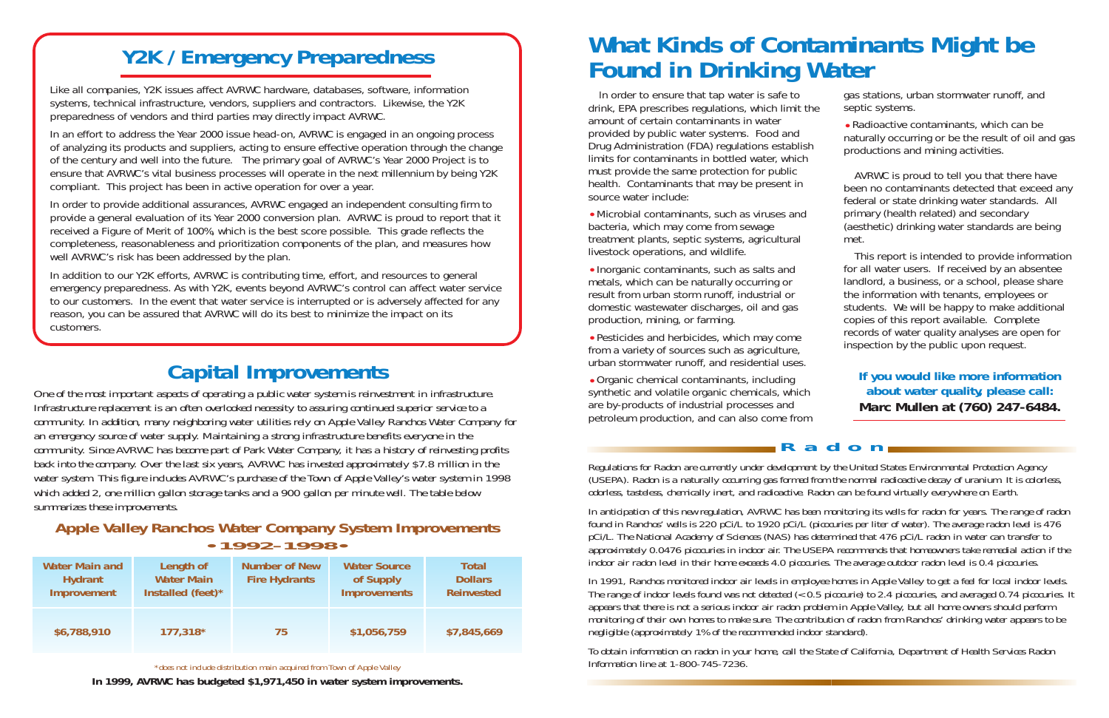### **Y2K / Emergency Preparedness**

Like all companies, Y2K issues affect AVRWC hardware, databases, software, information systems, technical infrastructure, vendors, suppliers and contractors. Likewise, the Y2K preparedness of vendors and third parties may directly impact AVRWC.

In an effort to address the Year 2000 issue head-on, AVRWC is engaged in an ongoing process of analyzing its products and suppliers, acting to ensure effective operation through the change of the century and well into the future. The primary goal of AVRWC's Year 2000 Project is to ensure that AVRWC's vital business processes will operate in the next millennium by being Y2K compliant. This project has been in active operation for over a year.

In order to provide additional assurances, AVRWC engaged an independent consulting firm to provide a general evaluation of its Year 2000 conversion plan. AVRWC is proud to report that it received a Figure of Merit of 100%, which is the best score possible. This grade reflects the completeness, reasonableness and prioritization components of the plan, and measures how well AVRWC's risk has been addressed by the plan.

In addition to our Y2K efforts, AVRWC is contributing time, effort, and resources to general emergency preparedness. As with Y2K, events beyond AVRWC's control can affect water service to our customers. In the event that water service is interrupted or is adversely affected for any reason, you can be assured that AVRWC will do its best to minimize the impact on its customers.

<sup>I</sup>n order to ensure that tap water is safe to drink, EPA prescribes regulations, which limit the amount of certain contaminants in water provided by public water systems. Food and Drug Administration (FDA) regulations establish limits for contaminants in bottled water, which must provide the same protection for public health. Contaminants that may be present in source water include:

•Microbial contaminants, such as viruses and bacteria, which may come from sewage treatment plants, septic systems, agricultural livestock operations, and wildlife.

•Inorganic contaminants, such as salts and metals, which can be naturally occurring or result from urban storm runoff, industrial or domestic wastewater discharges, oil and gas production, mining, or farming.

•Pesticides and herbicides, which may come from a variety of sources such as agriculture, urban stormwater runoff, and residential uses.

•Organic chemical contaminants, including synthetic and volatile organic chemicals, which are by-products of industrial processes and petroleum production, and can also come from

**Radon**

*Regulations for Radon are currently under development by the United States Environmental Protection Agency (USEPA). Radon is a naturally occurring gas formed from the normal radioactive decay of uranium. It is colorless, odorless, tasteless, chemically inert, and radioactive. Radon can be found virtually everywhere on Earth.*

*In anticipation of this new regulation, AVRWC has been monitoring its wells for radon for years. The range of radon found in Ranchos' wells is 220 pCi/L to 1920 pCi/L (picocuries per liter of water). The average radon level is 476 pCi/L. The National Academy of Sciences (NAS) has determined that 476 pCi/L radon in water can transfer to approximately 0.0476 picocuries in indoor air. The USEPA recommends that homeowners take remedial action if the indoor air radon level in their home exceeds 4.0 picocuries. The average outdoor radon level is 0.4 picocuries.*

*In 1991, Ranchos monitored indoor air levels in employee homes in Apple Valley to get a feel for local indoor levels. The range of indoor levels found was not detected (<0.5 picocurie) to 2.4 picocuries, and averaged 0.74 picocuries. It appears that there is not a serious indoor air radon problem in Apple Valley, but all home owners should perform monitoring of their own homes to make sure. The contribution of radon from Ranchos' drinking water appears to be negligible (approximately 1% of the recommended indoor standard).*

*To obtain information on radon in your home, call the State of California, Department of Health Services Radon Information line at 1-800-745-7236.*

### **What Kinds of Contaminants Might be Found in Drinking Water**

gas stations, urban stormwater runoff, and septic systems.

•Radioactive contaminants, which can be naturally occurring or be the result of oil and gas productions and mining activities.

AVRWC is proud to tell you that there have been no contaminants detected that exceed any federal or state drinking water standards. All primary (health related) and secondary (aesthetic) drinking water standards are being met.

This report is intended to provide information for all water users. If received by an absentee landlord, a business, or a school, please share the information with tenants, employees or students. We will be happy to make additional copies of this report available. Complete records of water quality analyses are open for inspection by the public upon request.

#### **If you would like more information about water quality, please call: Marc Mullen at (760) 247-6484.**

| <b>Water Main and</b><br><b>Hydrant</b><br><b>Improvement</b> | Length of<br><b>Water Main</b><br><b>Installed</b> (feet)* | <b>Number of New</b><br><b>Fire Hydrants</b> | <b>Water Source</b><br>of Supply<br><b>Improvements</b> | <b>Total</b><br><b>Dollars</b><br><b>Reinvested</b> |
|---------------------------------------------------------------|------------------------------------------------------------|----------------------------------------------|---------------------------------------------------------|-----------------------------------------------------|
| \$6,788,910                                                   | 177,318*                                                   | 75                                           | \$1,056,759                                             | \$7,845,669                                         |

*\*does not include distribution main acquired from Town of Apple Valley*

**In 1999, AVRWC has budgeted \$1,971,450 in water system improvements.**

#### **Apple Valley Ranchos Water Company System Improvements •1992-1998•**

### **Capital Improvements**

*One of the most important aspects of operating a public water system is reinvestment in infrastructure. Infrastructure replacement is an often overlooked necessity to assuring continued superior service to a community. In addition, many neighboring water utilities rely on Apple Valley Ranchos Water Company for an emergency source of water supply. Maintaining a strong infrastructure benefits everyone in the community. Since AVRWC has become part of Park Water Company, it has a history of reinvesting profits back into the company. Over the last six years, AVRWC has invested approximately \$7.8 million in the water system. This figure includes AVRWC's purchase of the Town of Apple Valley's water system in 1998 which added 2, one million gallon storage tanks and a 900 gallon per minute well. The table below summarizes these improvements.*